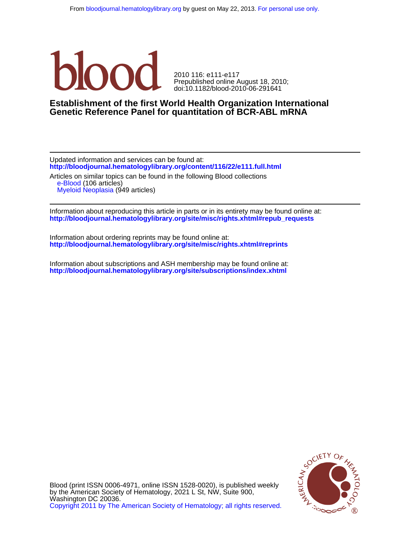

doi:10.1182/blood-2010-06-291641 Prepublished online August 18, 2010; 2010 116: e111-e117

# **Genetic Reference Panel for quantitation of BCR-ABL mRNA Establishment of the first World Health Organization International**

**<http://bloodjournal.hematologylibrary.org/content/116/22/e111.full.html>** Updated information and services can be found at: Articles on similar topics can be found in the following Blood collections

 [Myeloid Neoplasia](http://bloodjournal.hematologylibrary.org/cgi/collection/myeloid_neoplasia) (949 articles) [e-Blood](http://bloodjournal.hematologylibrary.org/cgi/collection/eblood) (106 articles)

**[http://bloodjournal.hematologylibrary.org/site/misc/rights.xhtml#repub\\_requests](http://bloodjournal.hematologylibrary.org/site/misc/rights.xhtml#repub_requests)** Information about reproducing this article in parts or in its entirety may be found online at:

**<http://bloodjournal.hematologylibrary.org/site/misc/rights.xhtml#reprints>** Information about ordering reprints may be found online at:

**<http://bloodjournal.hematologylibrary.org/site/subscriptions/index.xhtml>** Information about subscriptions and ASH membership may be found online at:



[Copyright 2011 by The American Society of Hematology; all rights reserved.](http://bloodjournal.hematologylibrary.org/subscriptions/ToS.dtl) Washington DC 20036. by the American Society of Hematology, 2021 L St, NW, Suite 900, Blood (print ISSN 0006-4971, online ISSN 1528-0020), is published weekly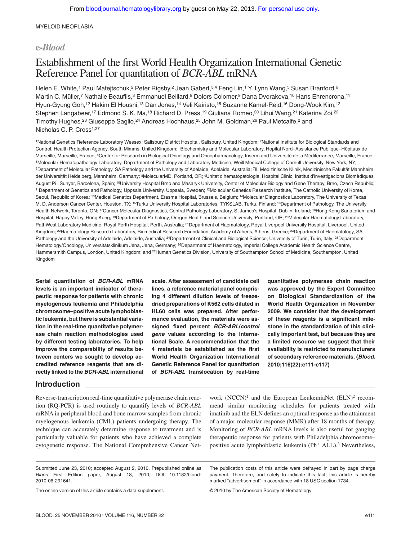MYELOID NEOPLASIA

# **e-***Blood*

# Establishment of the first World Health Organization International Genetic Reference Panel for quantitation of *BCR-ABL* mRNA

Helen E. White,<sup>1</sup> Paul Matejtschuk,<sup>2</sup> Peter Rigsby,<sup>2</sup> Jean Gabert,<sup>3,4</sup> Feng Lin,<sup>1</sup> Y. Lynn Wang,<sup>5</sup> Susan Branford,<sup>6</sup> Martin C. Müller,<sup>7</sup> Nathalie Beaufils,<sup>3</sup> Emmanuel Beillard,<sup>8</sup> Dolors Colomer,<sup>9</sup> Dana Dvorakova,<sup>10</sup> Hans Ehrencrona,<sup>11</sup> Hyun-Gyung Goh,12 Hakim El Housni,13 Dan Jones,14 Veli Kairisto,15 Suzanne Kamel-Reid,16 Dong-Wook Kim,12 Stephen Langabeer,<sup>17</sup> Edmond S. K. Ma,<sup>18</sup> Richard D. Press,<sup>19</sup> Giuliana Romeo,<sup>20</sup> Lihui Wang,<sup>21</sup> Katerina Zoi,<sup>22</sup> Timothy Hughes,<sup>23</sup> Giuseppe Saglio,<sup>24</sup> Andreas Hochhaus,<sup>25</sup> John M. Goldman,<sup>26</sup> Paul Metcalfe,<sup>2</sup> and Nicholas C. P. Cross<sup>1,27</sup>

<sup>1</sup>National Genetics Reference Laboratory Wessex, Salisbury District Hospital, Salisbury, United Kingdom; <sup>2</sup>National Institute for Biological Standards and Control, Health Protection Agency, South Mimms, United Kingdom; <sup>3</sup>Biochemistry and Molecular Laboratory, Hopital Nord–Assistance Publique–Hôpitaux de Marseille, Marseille, France; <sup>4</sup>Center for Research in Biological Oncology and Oncopharmacology, Inserm and Université de la Méditerranée, Marseille, France; 5Molecular Hematopathology Laboratory, Department of Pathology and Laboratory Medicine, Weill Medical College of Cornell University, New York, NY; <sup>6</sup>Department of Molecular Pathology, SA Pathology and the University of Adelaide, Adelaide, Australia; 7III Medizinische Klinik, Medizinische Fakultät Mannheim der Universität Heidelberg, Mannheim, Germany; <sup>8</sup>MolecularMD, Portland, OR; <sup>9</sup>Unitat d'hematopatologia, Hospital Clinic, Institut d'investigacions Biomèdiques August Pi i Sunyer, Barcelona, Spain; <sup>10</sup>University Hospital Brno and Masaryk University, Center of Molecular Biology and Gene Therapy, Brno, Czech Republic; 11Department of Genetics and Pathology, Uppsala University, Uppsala, Sweden; 12Molecular Genetics Research Institute, The Catholic University of Korea, Seoul, Republic of Korea; 13Medical Genetics Department, Erasme Hospital, Brussels, Belgium; 14Molecular Diagnostics Laboratory, The University of Texas M. D. Anderson Cancer Center, Houston, TX; <sup>15</sup>Turku University Hospital Laboratories, TYKSLAB, Turku, Finland; <sup>16</sup>Department of Pathology, The University Health Network, Toronto, ON; <sup>17</sup>Cancer Molecular Diagnostics, Central Pathology Laboratory, St James's Hospital, Dublin, Ireland; <sup>18</sup>Hong Kong Sanatorium and Hospital, Happy Valley, Hong Kong; <sup>19</sup>Department of Pathology, Oregon Health and Science University, Portland, OR; <sup>20</sup>Molecular Haematology Laboratory, PathWest Laboratory Medicine, Royal Perth Hospital, Perth, Australia; <sup>21</sup>Department of Haematology, Royal Liverpool University Hospital, Liverpool, United Kingdom; <sup>22</sup>Haematology Research Laboratory, Biomedical Research Foundation, Academy of Athens, Athens, Greece; <sup>23</sup>Department of Haematology, SA Pathology and the University of Adelaide, Adelaide, Australia; <sup>24</sup>Department of Clinical and Biological Science, University of Turin, Turin, Italy; <sup>25</sup>Department Hematology/Oncology, Universitätsklinikum Jena, Jena, Germany; <sup>26</sup>Department of Haematology, Imperial College Academic Health Science Centre, Hammersmith Campus, London, United Kingdom; and <sup>27</sup>Human Genetics Division, University of Southampton School of Medicine, Southampton, United Kingdom

**Serial quantitation of** *BCR-ABL* **mRNA levels is an important indicator of therapeutic response for patients with chronic myelogenous leukemia and Philadelphia chromosome–positive acute lymphoblastic leukemia, but there is substantial variation in the real-time quantitative polymerase chain reaction methodologies used by different testing laboratories. To help improve the comparability of results between centers we sought to develop accredited reference reagents that are directly linked to the** *BCR-ABL* **international** **scale. After assessment of candidate cell lines, a reference material panel comprising 4 different dilution levels of freezedried preparations of K562 cells diluted in HL60 cells was prepared. After performance evaluation, the materials were assigned fixed percent** *BCR-ABL***/***control gene* **values according to the International Scale. A recommendation that the 4 materials be established as the first World Health Organization International Genetic Reference Panel for quantitation of** *BCR-ABL* **translocation by real-time**

**quantitative polymerase chain reaction was approved by the Expert Committee on Biological Standardization of the World Health Organization in November 2009. We consider that the development of these reagents is a significant milestone in the standardization of this clinically important test, but because they are a limited resource we suggest that their availability is restricted to manufacturers of secondary reference materials. (***Blood***. 2010;116(22):e111-e117)**

# **Introduction**

Reverse-transcription real-time quantitative polymerase chain reaction (RQ-PCR) is used routinely to quantify levels of *BCR-ABL* mRNA in peripheral blood and bone marrow samples from chronic myelogenous leukemia (CML) patients undergoing therapy. The technique can accurately determine response to treatment and is particularly valuable for patients who have achieved a complete cytogenetic response. The National Comprehensive Cancer Network  $(NCCN)^1$  and the European LeukemiaNet  $(ELN)^2$  recommend similar monitoring schedules for patients treated with imatinib and the ELN defines an optimal response as the attainment of a major molecular response (MMR) after 18 months of therapy. Monitoring of *BCR-ABL* mRNA levels is also useful for gauging therapeutic response for patients with Philadelphia chromosome– positive acute lymphoblastic leukemia (Ph<sup>+</sup> ALL).<sup>3</sup> Nevertheless,

The online version of this article contains a data supplement.

The publication costs of this article were defrayed in part by page charge payment. Therefore, and solely to indicate this fact, this article is hereby marked "advertisement" in accordance with 18 USC section 1734.

© 2010 by The American Society of Hematology

Submitted June 23, 2010; accepted August 2, 2010. Prepublished online as *Blood* First Edition paper, August 18, 2010; DOI 10.1182/blood-2010-06-291641.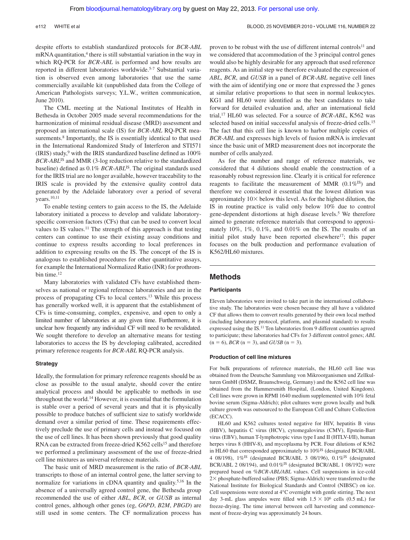#### e112 WHITE et al BLOOD, 25 NOVEMBER 2010 · VOLUME 116, NUMBER 22

despite efforts to establish standardized protocols for *BCR-ABL* mRNA quantitation,<sup>4</sup> there is still substantial variation in the way in which RQ-PCR for *BCR-ABL* is performed and how results are reported in different laboratories worldwide.5-7 Substantial variation is observed even among laboratories that use the same commercially available kit (unpublished data from the College of American Pathologists surveys; Y.L.W., written communication, June 2010).

The CML meeting at the National Institutes of Health in Bethesda in October 2005 made several recommendations for the harmonization of minimal residual disease (MRD) assessment and proposed an international scale (IS) for *BCR-ABL* RQ-PCR measurements.<sup>8</sup> Importantly, the IS is essentially identical to that used in the International Randomized Study of Interferon and STI571 (IRIS) study,<sup>9</sup> with the IRIS standardized baseline defined as  $100\%$ *BCR-ABL*IS and MMR (3-log reduction relative to the standardized baseline) defined as 0.1% *BCR-ABL*IS. The original standards used for the IRIS trial are no longer available, however traceability to the IRIS scale is provided by the extensive quality control data generated by the Adelaide laboratory over a period of several years.10,11

To enable testing centers to gain access to the IS, the Adelaide laboratory initiated a process to develop and validate laboratoryspecific conversion factors (CFs) that can be used to convert local values to IS values.11 The strength of this approach is that testing centers can continue to use their existing assay conditions and continue to express results according to local preferences in addition to expressing results on the IS. The concept of the IS is analogous to established procedures for other quantitative assays, for example the International Normalized Ratio (INR) for prothrombin time.<sup>12</sup>

Many laboratories with validated CFs have established themselves as national or regional reference laboratories and are in the process of propagating CFs to local centers.13 While this process has generally worked well, it is apparent that the establishment of CFs is time-consuming, complex, expensive, and open to only a limited number of laboratories at any given time. Furthermore, it is unclear how frequently any individual CF will need to be revalidated. We sought therefore to develop an alternative means for testing laboratories to access the IS by developing calibrated, accredited primary reference reagents for *BCR-ABL* RQ-PCR analysis.

#### **Strategy**

Ideally, the formulation for primary reference reagents should be as close as possible to the usual analyte, should cover the entire analytical process and should be applicable to methods in use throughout the world.14 However, it is essential that the formulation is stable over a period of several years and that it is physically possible to produce batches of sufficient size to satisfy worldwide demand over a similar period of time. These requirements effectively preclude the use of primary cells and instead we focused on the use of cell lines. It has been shown previously that good quality RNA can be extracted from freeze-dried K562 cells<sup>15</sup> and therefore we performed a preliminary assessment of the use of freeze-dried cell line mixtures as universal reference materials.

The basic unit of MRD measurement is the ratio of *BCR-ABL* transcripts to those of an internal control gene, the latter serving to normalize for variations in cDNA quantity and quality.5,16 In the absence of a universally agreed control gene, the Bethesda group recommended the use of either *ABL*, *BCR*, or *GUSB* as internal control genes, although other genes (eg, *G6PD*, *B2M*, *PBGD*) are still used in some centers. The CF normalization process has proven to be robust with the use of different internal controls<sup>11</sup> and we considered that accommodation of the 3 principal control genes would also be highly desirable for any approach that used reference reagents. As an initial step we therefore evaluated the expression of *ABL*, *BCR*, and *GUSB* in a panel of *BCR-ABL* negative cell lines with the aim of identifying one or more that expressed the 3 genes at similar relative proportions to that seen in normal leukocytes. KG1 and HL60 were identified as the best candidates to take forward for detailed evaluation and, after an international field trial,17 HL60 was selected. For a source of *BCR-ABL*, K562 was selected based on initial successful analysis of freeze-dried cells.<sup>15</sup> The fact that this cell line is known to harbor multiple copies of *BCR-ABL* and expresses high levels of fusion mRNA is irrelevant since the basic unit of MRD measurement does not incorporate the number of cells analyzed.

As for the number and range of reference materials, we considered that 4 dilutions should enable the construction of a reasonably robust regression line. Clearly it is critical for reference reagents to facilitate the measurement of MMR  $(0.1\%)^{\text{IS}}$  and therefore we considered it essential that the lowest dilution was approximately  $10\times$  below this level. As for the highest dilution, the IS in routine practice is valid only below 10% due to control gene-dependent distortions at high disease levels.5 We therefore aimed to generate reference materials that correspond to approximately 10%, 1%, 0.1%, and 0.01% on the IS. The results of an initial pilot study have been reported elsewhere $17$ ; this paper focuses on the bulk production and performance evaluation of K562/HL60 mixtures.

# **Methods**

#### **Participants**

Eleven laboratories were invited to take part in the international collaborative study. The laboratories were chosen because they all have a validated CF that allows them to convert results generated by their own local method (including laboratory protocol, platform, and plasmid standard) to results expressed using the IS.11 Ten laboratories from 9 different countries agreed to participate; these laboratories had CFs for 3 different control genes; *ABL*  $(n = 6)$ , *BCR*  $(n = 3)$ , and *GUSB*  $(n = 3)$ .

#### **Production of cell line mixtures**

For bulk preparations of reference materials, the HL60 cell line was obtained from the Deutsche Sammlung von Mikroorganismen und Zellkulturen GmbH (DSMZ, Braunschweig, Germany) and the K562 cell line was obtained from the Hammersmith Hospital, (London, United Kingdom). Cell lines were grown in RPMI 1640 medium supplemented with 10% fetal bovine serum (Sigma-Aldrich); pilot cultures were grown locally and bulk culture growth was outsourced to the European Cell and Culture Collection (ECACC).

HL60 and K562 cultures tested negative for HIV, hepatitis B virus (HBV), hepatitis C virus (HCV), cytomegalovirus (CMV), Epstein-Barr virus (EBV), human T-lymphotropic virus type I and II (HTLV-I/II), human herpes virus 8 (HHV-8), and mycoplasma by PCR. Four dilutions of K562 in HL60 that corresponded approximately to 10%<sup>IS</sup> (designated BCR/ABL 4 08/198),  $1\%$ <sup>IS</sup> (designated BCR/ABL 3 08/196),  $0.1\%$ <sup>IS</sup> (designated BCR/ABL 2 08/194), and  $0.01\%$ <sup>IS</sup> (designated BCR/ABL 1 08/192) were prepared based on %*BCR-ABL/ABL* values. Cell suspensions in ice-cold 2× phosphate-buffered saline (PBS; Sigma-Aldrich) were transferred to the National Institute for Biological Standards and Control (NIBSC) on ice. Cell suspensions were stored at 4°C overnight with gentle stirring. The next day 3-mL glass ampules were filled with  $1.5 \times 10^6$  cells (0.5 mL) for freeze-drying. The time interval between cell harvesting and commencement of freeze-drying was approximately 24 hours.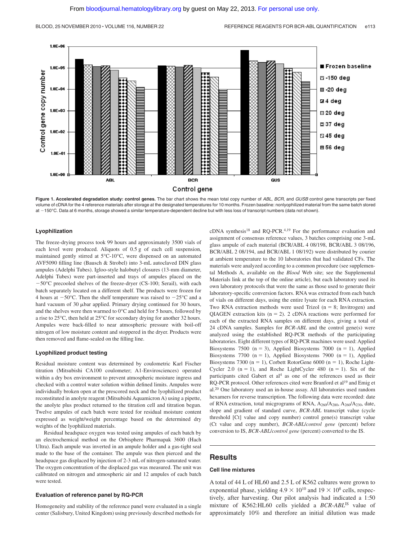



#### **Lyophilization**

The freeze-drying process took 99 hours and approximately 3500 vials of each level were produced. Aliquots of 0.5 g of each cell suspension, maintained gently stirred at 5°C-10°C, were dispensed on an automated AVF5090 filling line (Bausch & Strobel) into 3-mL autoclaved DIN glass ampules (Adelphi Tubes). Igloo-style halobutyl closures (13-mm diameter, Adelphi Tubes) were part-inserted and trays of ampules placed on the  $-50^{\circ}$ C precooled shelves of the freeze-dryer (CS-100; Serail), with each batch separately located on a different shelf. The products were frozen for 4 hours at  $-50^{\circ}$ C. Then the shelf temperature was raised to  $-25^{\circ}$ C and a hard vacuum of 30  $\mu$ bar applied. Primary drying continued for 30 hours, and the shelves were then warmed to 0°C and held for 5 hours, followed by a rise to 25°C, then held at 25°C for secondary drying for another 32 hours. Ampules were back-filled to near atmospheric pressure with boil-off nitrogen of low moisture content and stoppered in the dryer. Products were then removed and flame-sealed on the filling line.

#### **Lyophilized product testing**

Residual moisture content was determined by coulometric Karl Fischer titration (Mitsubishi CA100 coulometer; A1-Envirosciences) operated within a dry box environment to prevent atmospheric moisture ingress and checked with a control water solution within defined limits. Ampules were individually broken open at the prescored neck and the lyophilized product reconstituted in anolyte reagent (Mitsubishi Aquamicron A) using a pipette, the anolyte plus product returned to the titration cell and titration begun. Twelve ampules of each batch were tested for residual moisture content expressed as weight/weight percentage based on the determined dry weights of the lyophilized materials.

Residual headspace oxygen was tested using ampules of each batch by an electrochemical method on the Orbisphere Pharmapak 3600 (Hach Ultra). Each ampule was inverted in an ampule holder and a gas-tight seal made to the base of the container. The ampule was then pierced and the headspace gas displaced by injection of 2-3 mL of nitrogen-saturated water. The oxygen concentration of the displaced gas was measured. The unit was calibrated on nitrogen and atmospheric air and 12 ampules of each batch were tested.

#### **Evaluation of reference panel by RQ-PCR**

Homogeneity and stability of the reference panel were evaluated in a single center (Salisbury, United Kingdom) using previously described methods for cDNA synthesis<sup>18</sup> and RQ-PCR.<sup>4,19</sup> For the performance evaluation and assignment of consensus reference values, 3 batches comprising one 3-mL glass ampule of each material (BCR/ABL 4 08/198, BCR/ABL 3 08/196, BCR/ABL 2 08/194, and BCR/ABL 1 08/192) were distributed by courier at ambient temperature to the 10 laboratories that had validated CFs. The materials were analyzed according to a common procedure (see supplemental Methods A, available on the *Blood* Web site; see the Supplemental Materials link at the top of the online article), but each laboratory used its own laboratory protocols that were the same as those used to generate their laboratory-specific conversion factors. RNA was extracted from each batch of vials on different days, using the entire lysate for each RNA extraction. Two RNA extraction methods were used Trizol  $(n = 8;$  Invitrogen) and QIAGEN extraction kits ( $n = 2$ ). 2 cDNA reactions were performed for each of the extracted RNA samples on different days, giving a total of 24 cDNA samples. Samples for *BCR-ABL* and the control gene(s) were analyzed using the established RQ-PCR methods of the participating laboratories. Eight different types of RQ-PCR machines were used: Applied Biosystems 7500 (n = 3), Applied Biosystems 7000 (n = 1), Applied Biosystems 7700 (n = 1), Applied Biosystems 7900 (n = 1), Applied Biosystems 7300 (n = 1), Corbett RotorGene 6000 (n = 1), Roche Light-Cycler 2.0  $(n = 1)$ , and Roche LightCycler 480  $(n = 1)$ . Six of the participants cited Gabert et  $al<sup>4</sup>$  as one of the references used as their RQ-PCR protocol. Other references cited were Branford et al<sup>19</sup> and Emig et al.20 One laboratory used an in-house assay. All laboratories used random hexamers for reverse transcription. The following data were recorded: date of RNA extraction, total micgrograms of RNA, A260/A280, A260/A230, date, slope and gradient of standard curve, *BCR-ABL* transcript value (cycle threshold [Ct] value and copy number) control gene(s) transcript value (Ct value and copy number), *BCR-ABL*/*control gene* (percent) before conversion to IS, *BCR-ABL*/*control gene* (percent) converted to the IS.

# **Results**

#### **Cell line mixtures**

A total of 44 L of HL60 and 2.5 L of K562 cultures were grown to exponential phase, yielding  $4.9 \times 10^{10}$  and  $19 \times 10^8$  cells, respectively, after harvesting. Our pilot analysis had indicated a 1:50 mixture of K562:HL60 cells yielded a *BCR-ABL*IS value of approximately 10% and therefore an initial dilution was made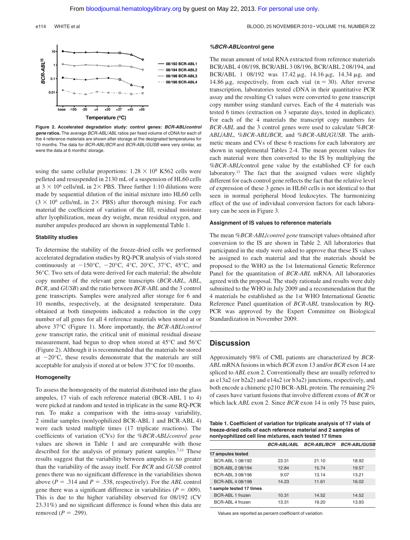#### e114 WHITE et al BLOOD, 25 NOVEMBER 2010 · VOLUME 116, NUMBER 22



**Figure 2. Accelerated degradation study: control genes:** *BCR-ABL***/***control gene* **ratios.** The average *BCR-ABL*/*ABL* ratios per fixed volume of cDNA for each of the 4 reference materials are shown after storage at the designated temperatures for 10 months. The data for *BCR-ABL*/*BCR* and *BCR-ABL*/*GUSB* were very similar, as were the data at 6 months' storage.

using the same cellular proportions:  $1.28 \times 10^8$  K562 cells were pelleted and resuspended in 2130 mL of a suspension of HL60 cells at  $3 \times 10^6$  cells/mL in 2 $\times$  PBS. Three further 1:10 dilutions were made by sequential dilution of the initial mixture into HL60 cells  $(3 \times 10^6 \text{ cells/mL}$  in 2× PBS) after thorough mixing. For each material the coefficient of variation of the fill, residual moisture after lyophilization, mean dry weight, mean residual oxygen, and number ampules produced are shown in supplemental Table 1.

#### **Stability studies**

To determine the stability of the freeze-dried cells we performed accelerated degradation studies by RQ-PCR analysis of vials stored continuously at  $-150^{\circ}$ C,  $-20^{\circ}$ C,  $4^{\circ}$ C,  $20^{\circ}$ C,  $37^{\circ}$ C,  $45^{\circ}$ C, and 56°C. Two sets of data were derived for each material; the absolute copy number of the relevant gene transcripts (*BCR-ABL*, *ABL*, *BCR*, and *GUSB*) and the ratio between *BCR-ABL* and the 3 control gene transcripts. Samples were analyzed after storage for 6 and 10 months, respectively, at the designated temperature. Data obtained at both timepoints indicated a reduction in the copy number of all genes for all 4 reference materials when stored at or above 37°C (Figure 1). More importantly, the *BCR-ABL*/*control gene* transcript ratio, the critical unit of minimal residual disease measurement, had begun to drop when stored at 45°C and 56°C (Figure 2). Although it is recommended that the materials be stored at  $-20^{\circ}$ C, these results demonstrate that the materials are still acceptable for analysis if stored at or below 37°C for 10 months.

#### **Homogeneity**

To assess the homogeneity of the material distributed into the glass ampules, 17 vials of each reference material (BCR-ABL 1 to 4) were picked at random and tested in triplicate in the same RQ-PCR run. To make a comparison with the intra-assay variability, 2 similar samples (nonlyophilized BCR-ABL 1 and BCR-ABL 4) were each tested multiple times (17 triplicate reactions). The coefficients of variation (CVs) for the %*BCR-ABL*/*control gene* values are shown in Table 1 and are comparable with those described for the analysis of primary patient samples.<sup>7,11</sup> These results suggest that the variability between ampules is no greater than the variability of the assay itself. For *BCR* and *GUSB* control genes there was no significant difference in the variabilities shown above ( $P = .314$  and  $P = .538$ , respectively). For the *ABL* control gene there was a significant difference in variabilities ( $P = .009$ ). This is due to the higher variability observed for 08/192 (CV 23.31%) and no significant difference is found when this data are removed  $(P = .299)$ .

#### *%BCR-ABL***/control gene**

The mean amount of total RNA extracted from reference materials BCR/ABL 4 08/198, BCR/ABL 3 08/196, BCR/ABL 2 08/194, and BCR/ABL 1 08/192 was 17.42  $\mu$ g, 14.16  $\mu$ g, 14.34  $\mu$ g, and 14.86  $\mu$ g, respectively, from each vial (n = 30). After reverse transcription, laboratories tested cDNA in their quantitative PCR assay and the resulting Ct values were converted to gene transcript copy number using standard curves. Each of the 4 materials was tested 6 times (extraction on 3 separate days, tested in duplicate). For each of the 4 materials the transcript copy numbers for *BCR-ABL* and the 3 control genes were used to calculate %*BCR-ABL*/*ABL*, %*BCR-ABL*/*BCR*, and %*BCR-ABL*/*GUSB*. The arithmetic means and CVs of these 6 reactions for each laboratory are shown in supplemental Tables 2-4. The mean percent values for each material were then converted to the IS by multiplying the %*BCR-ABL*/control gene value by the established CF for each laboratory.11 The fact that the assigned values were slightly different for each control gene reflects the fact that the relative level of expression of these 3 genes in HL60 cells is not identical to that seen in normal peripheral blood leukocytes. The harmonizing effect of the use of individual conversion factors for each laboratory can be seen in Figure 3.

#### **Assignment of IS values to reference materials**

The mean %*BCR-ABL*/*control gene* transcript values obtained after conversion to the IS are shown in Table 2. All laboratories that participated in the study were asked to approve that these IS values be assigned to each material and that the materials should be proposed to the WHO as the 1st International Genetic Reference Panel for the quantitation of *BCR-ABL* mRNA. All laboratories agreed with the proposal. The study rationale and results were duly submitted to the WHO in July 2009 and a recommendation that the 4 materials be established as the 1st WHO International Genetic Reference Panel quantitation of *BCR-ABL* translocation by RQ-PCR was approved by the Expert Committee on Biological Standardization in November 2009.

# **Discussion**

Approximately 98% of CML patients are characterized by *BCR-ABL* mRNA fusions in which *BCR* exon 13 and/or *BCR* exon 14 are spliced to *ABL* exon 2. Conventionally these are usually referred to as e13a2 (or b2a2) and e14a2 (or b3a2) junctions, respectively, and both encode a chimeric p210 BCR-ABL protein. The remaining 2% of cases have variant fusions that involve different exons of *BCR* or which lack *ABL* exon 2. Since *BCR* exon 14 is only 75 base pairs,

**Table 1. Coefficient of variation for triplicate analysis of 17 vials of freeze-dried cells of each reference material and 2 samples of nonlyophilized cell line mixtures, each tested 17 times**

|                          | <i>BCR-ABL/ABL</i> | <b>BCR-ABL/BCR</b> | <b>BCR-ABL/GUSB</b> |
|--------------------------|--------------------|--------------------|---------------------|
| 17 ampules tested        |                    |                    |                     |
| BCR-ABL 1 08/192         | 23.31              | 21.10              | 18.92               |
| BCR-ABL 2 08/194         | 12.84              | 15.74              | 19.57               |
| BCR-ABL 3 08/196         | 9.07               | 13.14              | 13.21               |
| BCR-ABL 4 08/198         | 14.23              | 11.61              | 16.02               |
| 1 sample tested 17 times |                    |                    |                     |
| BCR-ABL 1 frozen         | 10.31              | 14.52              | 14.52               |
| BCR-ABL 4 frozen         | 13.31              | 19.20              | 13.93               |

Values are reported as percent coefficient of variation.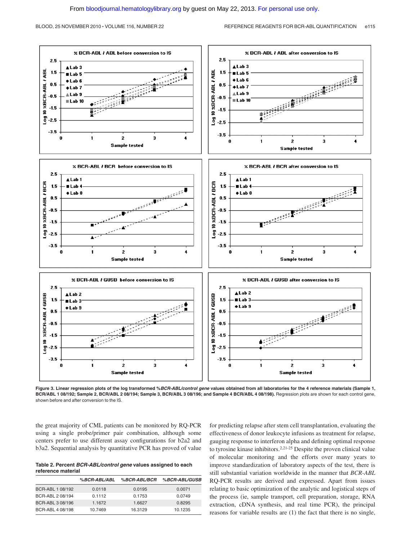

**Figure 3. Linear regression plots of the log transformed %***BCR-ABL/control gene* **values obtained from all laboratories for the 4 reference materials (Sample 1, BCR/ABL 1 08/192; Sample 2, BCR/ABL 2 08/194; Sample 3, BCR/ABL 3 08/196; and Sample 4 BCR/ABL 4 08/198).** Regression plots are shown for each control gene, shown before and after conversion to the IS.

the great majority of CML patients can be monitored by RQ-PCR using a single probe/primer pair combination, although some centers prefer to use different assay configurations for b2a2 and b3a2. Sequential analysis by quantitative PCR has proved of value

**Table 2. Percent** *BCR-ABL/control gene* **values assigned to each reference material**

|                  | %BCR-ABL/ABL | %BCR-ABL/BCR | %BCR-ABL/GUSB |
|------------------|--------------|--------------|---------------|
| BCR-ABL 1 08/192 | 0.0118       | 0.0195       | 0.0071        |
| BCR-ABL 2 08/194 | 0.1112       | 0.1753       | 0.0749        |
| BCR-ABL 3 08/196 | 1.1672       | 1.6627       | 0.8295        |
| BCR-ABL 4 08/198 | 10.7469      | 16.3129      | 10.1235       |

for predicting relapse after stem cell transplantation, evaluating the effectiveness of donor leukocyte infusions as treatment for relapse, gauging response to interferon alpha and defining optimal response to tyrosine kinase inhibitors.2,21-25 Despite the proven clinical value of molecular monitoring and the efforts over many years to improve standardization of laboratory aspects of the test, there is still substantial variation worldwide in the manner that *BCR-ABL* RQ-PCR results are derived and expressed. Apart from issues relating to basic optimization of the analytic and logistical steps of the process (ie, sample transport, cell preparation, storage, RNA extraction, cDNA synthesis, and real time PCR), the principal reasons for variable results are (1) the fact that there is no single,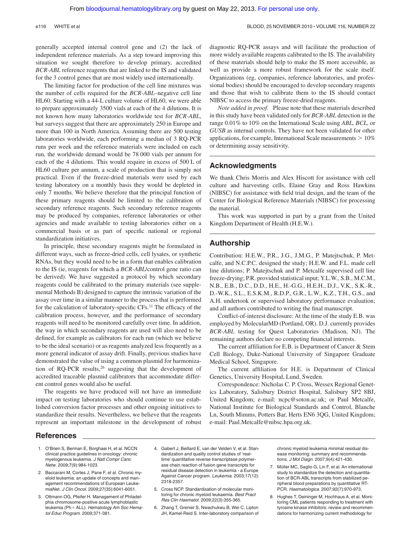generally accepted internal control gene and (2) the lack of independent reference materials. As a step toward improving this situation we sought therefore to develop primary, accredited *BCR-ABL* reference reagents that are linked to the IS and validated for the 3 control genes that are most widely used internationally.

The limiting factor for production of the cell line mixtures was the number of cells required for the *BCR-ABL*–negative cell line HL60. Starting with a 44-L culture volume of HL60, we were able to prepare approximately 3500 vials at each of the 4 dilutions. It is not known how many laboratories worldwide test for *BCR-ABL*, but surveys suggest that there are approximately 250 in Europe and more than 100 in North America. Assuming there are 500 testing laboratories worldwide, each performing a median of 3 RQ-PCR runs per week and the reference materials were included on each run, the worldwide demand would be 78 000 vials per annum for each of the 4 dilutions. This would require in excess of 500 L of HL60 culture per annum, a scale of production that is simply not practical. Even if the freeze-dried materials were used by each testing laboratory on a monthly basis they would be depleted in only 7 months. We believe therefore that the principal function of these primary reagents should be limited to the calibration of secondary reference reagents. Such secondary reference reagents may be produced by companies, reference laboratories or other agencies and made available to testing laboratories either on a commercial basis or as part of specific national or regional standardization initiatives.

In principle, these secondary reagents might be formulated in different ways, such as freeze-dried cells, cell lysates, or synthetic RNAs, but they would need to be in a form that enables calibration to the IS (ie, reagents for which a *BCR-ABL*/control gene ratio can be derived). We have suggested a protocol by which secondary reagents could be calibrated to the primary materials (see supplemental Methods B) designed to capture the intrinsic variation of the assay over time in a similar manner to the process that is performed for the calculation of laboratory-specific CFs.11 The efficacy of the calibration process, however, and the performance of secondary reagents will need to be monitored carefully over time. In addition, the way in which secondary reagents are used will also need to be defined, for example as calibrators for each run (which we believe to be the ideal scenario) or as reagents analyzed less frequently as a more general indicator of assay drift. Finally, previous studies have demonstrated the value of using a common plasmid for harmonization of RQ-PCR results,  $26$  suggesting that the development of accredited traceable plasmid calibrators that accommodate different control genes would also be useful.

The reagents we have produced will not have an immediate impact on testing laboratories who should continue to use established conversion factor processes and other ongoing initiatives to standardize their results. Nevertheless, we believe that the reagents represent an important milestone in the development of robust diagnostic RQ-PCR assays and will facilitate the production of more widely available reagents calibrated to the IS. The availability of these materials should help to make the IS more accessible, as well as provide a more robust framework for the scale itself. Organizations (eg, companies, reference laboratories, and professional bodies) should be encouraged to develop secondary reagents and those that wish to calibrate them to the IS should contact NIBSC to access the primary freeze-dried reagents.

*Note added in proof.* Please note that these materials described in this study have been validated only for *BCR-ABL* detection in the range 0.01% to 10% on the International Scale using *ABL, BCL,* or *GUSB* as internal controls. They have not been validated for other applications, for example, International Scale measurements  $> 10\%$ or determining assay sensitivity.

# **Acknowledgments**

We thank Chris Morris and Alex Hiscott for assistance with cell culture and harvesting cells, Elaine Gray and Ross Hawkins (NIBSC) for assistance with field trial design, and the team of the Center for Biological Reference Materials (NIBSC) for processing the material.

This work was supported in part by a grant from the United Kingdom Department of Health (H.E.W.).

# **Authorship**

Contribution: H.E.W., P.R., J.G., J.M.G., P. Matejtschuk, P. Metcalfe, and N.C.P.C. designed the study; H.E.W. and F.L. made cell line dilutions; P. Matejtschuk and P. Metcalfe supervised cell line freeze-drying; P.R. provided statistical input; Y.L.W., S.B., M.C.M., N.B., E.B., D.C., D.D., H.E., H.-G.G., H.E.H., D.J., V.K., S.K.-R., D.-W.K., S.L., E.S.K.M., R.D.P., G.R., L.W., K.Z., T.H., G.S., and A.H. undertook or supervised laboratory performance evaluation; and all authors contributed to writing the final manuscript.

Conflict-of-interest disclosure: At the time of the study E.B. was employed by MolecularMD (Portland, OR). D.J. currently provides *BCR-ABL* testing for Quest Laboratories (Madison, NJ). The remaining authors declare no competing financial interests.

The current affiliation for E.B. is Department of Cancer & Stem Cell Biology, Duke-National University of Singapore Graduate Medical School, Singapore.

The current affiliation for H.E. is Department of Clinical Genetics, University Hospital, Lund, Sweden.

Correspondence: Nicholas C. P. Cross, Wessex Regional Genetics Laboratory, Salisbury District Hospital, Salisbury SP2 8BJ, United Kingdom; e-mail: ncpc@soton.ac.uk; or Paul Metcalfe, National Institute for Biological Standards and Control, Blanche Ln, South Mimms, Potters Bar, Herts EN6 3QG, United Kingdom; e-mail: Paul.Metcalfe@nibsc.hpa.org.uk.

### **References**

- 1. O'Brien S, Berman E, Borghaei H, et al. NCCN clinical practice guidelines in oncology: chronic myelogenous leukemia. *J Natl Compr Canc Netw*. 2009;7(9):984-1023.
- 2. Baccarani M, Cortes J, Pane F, et al. Chronic myeloid leukemia: an update of concepts and management recommendations of European LeukemiaNet. *J Clin Oncol*. 2009;27(35):6041-6051.
- 3. Ottmann OG, Pfeifer H. Management of Philadelphia chromosome-positive acute lymphoblastic leukemia (Ph+ ALL). Hematology Am Soc Hema*tol Educ Program.* 2009;371-381.
- 4. Gabert J, Beillard E, van der Velden V, et al. Standardization and quality control studies of 'realtime' quantitative reverse transcriptase polymerase chain reaction of fusion gene transcripts for residual disease detection in leukemia - a Europe Against Cancer program. *Leukemia*. 2003;17(12): 2318-2357.
- 5. Cross NCP. Standardisation of molecular monitoring for chronic myeloid leukaemia. *Best Pract Res Clin Haematol*. 2009;22(3):355-365.
- 6. Zhang T, Grenier S, Nwachukwu B, Wei C, Lipton JH, Kamel-Reid S. Inter-laboratory comparison of

chronic myeloid leukemia minimal residual disease monitoring: summary and recommendations. *J Mol Diagn*. 2007;9(4):421-430.

- 7. Müller MC, Saglio G, Lin F, et al. An international study to standardize the detection and quantitation of BCR-ABL transcripts from stabilized peripheral blood preparations by quantitative RT-PCR. *Haematologica*. 2007;92(7):970-973.
- 8. Hughes T, Deininger M, Hochhaus A, et al. Monitoring CML patients responding to treatment with tyrosine kinase inhibitors: review and recommendations for harmonizing current methodology for